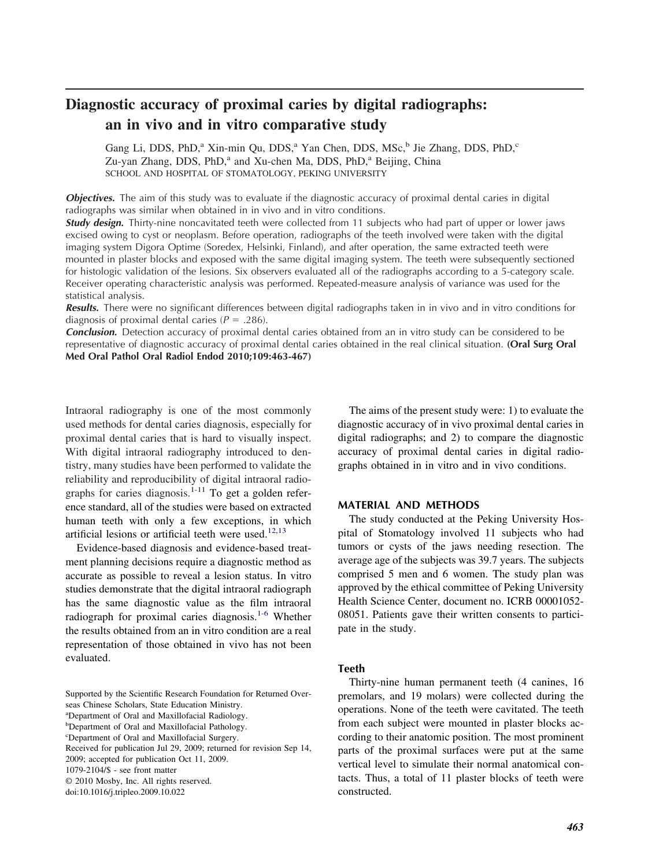# **Diagnostic accuracy of proximal caries by digital radiographs: an in vivo and in vitro comparative study**

Gang Li, DDS, PhD,<sup>a</sup> Xin-min Qu, DDS,<sup>a</sup> Yan Chen, DDS, MSc,<sup>b</sup> Jie Zhang, DDS, PhD,<sup>c</sup> Zu-yan Zhang, DDS, PhD,<sup>a</sup> and Xu-chen Ma, DDS, PhD,<sup>a</sup> Beijing, China SCHOOL AND HOSPITAL OF STOMATOLOGY, PEKING UNIVERSITY

*Objectives.* The aim of this study was to evaluate if the diagnostic accuracy of proximal dental caries in digital radiographs was similar when obtained in in vivo and in vitro conditions.

*Study design.* Thirty-nine noncavitated teeth were collected from 11 subjects who had part of upper or lower jaws excised owing to cyst or neoplasm. Before operation, radiographs of the teeth involved were taken with the digital imaging system Digora Optime (Soredex, Helsinki, Finland), and after operation, the same extracted teeth were mounted in plaster blocks and exposed with the same digital imaging system. The teeth were subsequently sectioned for histologic validation of the lesions. Six observers evaluated all of the radiographs according to a 5-category scale. Receiver operating characteristic analysis was performed. Repeated-measure analysis of variance was used for the statistical analysis.

*Results.* There were no significant differences between digital radiographs taken in in vivo and in vitro conditions for diagnosis of proximal dental caries ( $P = .286$ ).

*Conclusion.* Detection accuracy of proximal dental caries obtained from an in vitro study can be considered to be representative of diagnostic accuracy of proximal dental caries obtained in the real clinical situation. **(Oral Surg Oral Med Oral Pathol Oral Radiol Endod 2010;109:463-467)**

Intraoral radiography is one of the most commonly used methods for dental caries diagnosis, especially for proximal dental caries that is hard to visually inspect. With digital intraoral radiography introduced to dentistry, many studies have been performed to validate the reliability and reproducibility of digital intraoral radio-graphs for caries diagnosis.<sup>[1-11](#page-3-0)</sup> To get a golden reference standard, all of the studies were based on extracted human teeth with only a few exceptions, in which artificial lesions or artificial teeth were used. $12,13$ 

Evidence-based diagnosis and evidence-based treatment planning decisions require a diagnostic method as accurate as possible to reveal a lesion status. In vitro studies demonstrate that the digital intraoral radiograph has the same diagnostic value as the film intraoral radiograph for proximal caries diagnosis.<sup>[1-6](#page-3-0)</sup> Whether the results obtained from an in vitro condition are a real representation of those obtained in vivo has not been evaluated.

Supported by the Scientific Research Foundation for Returned Overseas Chinese Scholars, State Education Ministry.

The aims of the present study were: 1) to evaluate the diagnostic accuracy of in vivo proximal dental caries in digital radiographs; and 2) to compare the diagnostic accuracy of proximal dental caries in digital radiographs obtained in in vitro and in vivo conditions.

# **MATERIAL AND METHODS**

The study conducted at the Peking University Hospital of Stomatology involved 11 subjects who had tumors or cysts of the jaws needing resection. The average age of the subjects was 39.7 years. The subjects comprised 5 men and 6 women. The study plan was approved by the ethical committee of Peking University Health Science Center, document no. ICRB 00001052- 08051. Patients gave their written consents to participate in the study.

#### **Teeth**

Thirty-nine human permanent teeth (4 canines, 16 premolars, and 19 molars) were collected during the operations. None of the teeth were cavitated. The teeth from each subject were mounted in plaster blocks according to their anatomic position. The most prominent parts of the proximal surfaces were put at the same vertical level to simulate their normal anatomical contacts. Thus, a total of 11 plaster blocks of teeth were constructed.

a Department of Oral and Maxillofacial Radiology.

<sup>&</sup>lt;sup>b</sup>Department of Oral and Maxillofacial Pathology.

c Department of Oral and Maxillofacial Surgery.

Received for publication Jul 29, 2009; returned for revision Sep 14,

<sup>2009;</sup> accepted for publication Oct 11, 2009.

<sup>1079-2104/\$ -</sup> see front matter

<sup>© 2010</sup> Mosby, Inc. All rights reserved.

doi:10.1016/j.tripleo.2009.10.022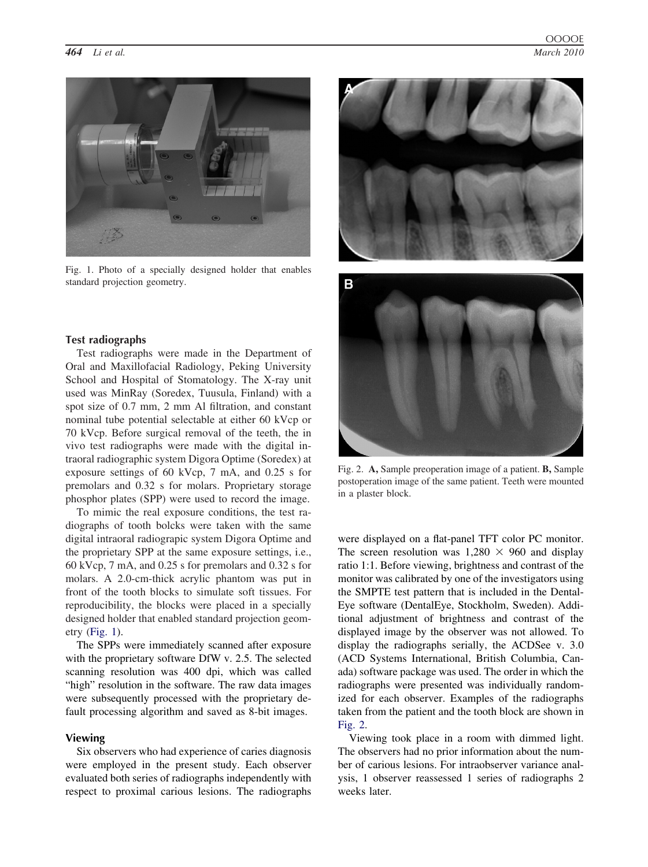

Fig. 1. Photo of a specially designed holder that enables standard projection geometry.

# **Test radiographs**

Test radiographs were made in the Department of Oral and Maxillofacial Radiology, Peking University School and Hospital of Stomatology. The X-ray unit used was MinRay (Soredex, Tuusula, Finland) with a spot size of 0.7 mm, 2 mm Al filtration, and constant nominal tube potential selectable at either 60 kVcp or 70 kVcp. Before surgical removal of the teeth, the in vivo test radiographs were made with the digital intraoral radiographic system Digora Optime (Soredex) at exposure settings of 60 kVcp, 7 mA, and 0.25 s for premolars and 0.32 s for molars. Proprietary storage phosphor plates (SPP) were used to record the image.

To mimic the real exposure conditions, the test radiographs of tooth bolcks were taken with the same digital intraoral radiograpic system Digora Optime and the proprietary SPP at the same exposure settings, i.e., 60 kVcp, 7 mA, and 0.25 s for premolars and 0.32 s for molars. A 2.0-cm-thick acrylic phantom was put in front of the tooth blocks to simulate soft tissues. For reproducibility, the blocks were placed in a specially designed holder that enabled standard projection geometry (Fig. 1).

The SPPs were immediately scanned after exposure with the proprietary software DfW v. 2.5. The selected scanning resolution was 400 dpi, which was called "high" resolution in the software. The raw data images were subsequently processed with the proprietary default processing algorithm and saved as 8-bit images.

# **Viewing**

Six observers who had experience of caries diagnosis were employed in the present study. Each observer evaluated both series of radiographs independently with respect to proximal carious lesions. The radiographs





Fig. 2. **A,** Sample preoperation image of a patient. **B,** Sample postoperation image of the same patient. Teeth were mounted in a plaster block.

were displayed on a flat-panel TFT color PC monitor. The screen resolution was  $1,280 \times 960$  and display ratio 1:1. Before viewing, brightness and contrast of the monitor was calibrated by one of the investigators using the SMPTE test pattern that is included in the Dental-Eye software (DentalEye, Stockholm, Sweden). Additional adjustment of brightness and contrast of the displayed image by the observer was not allowed. To display the radiographs serially, the ACDSee v. 3.0 (ACD Systems International, British Columbia, Canada) software package was used. The order in which the radiographs were presented was individually randomized for each observer. Examples of the radiographs taken from the patient and the tooth block are shown in Fig. 2.

Viewing took place in a room with dimmed light. The observers had no prior information about the number of carious lesions. For intraobserver variance analysis, 1 observer reassessed 1 series of radiographs 2 weeks later.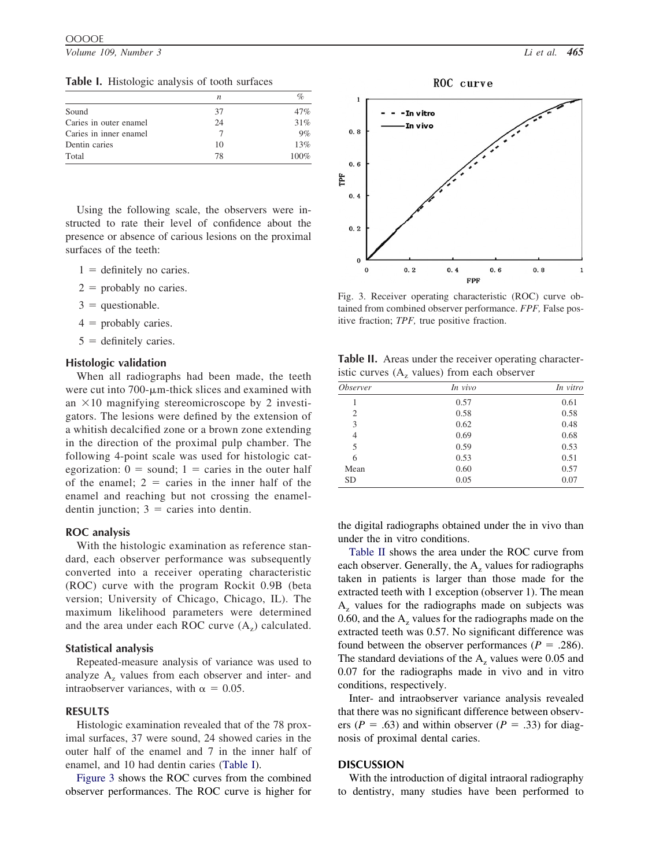*Volume 109, Number 3 Li et al. 465*

| Table I. Histologic analysis of tooth surfaces |  |
|------------------------------------------------|--|
|------------------------------------------------|--|

|                        |    | %    |
|------------------------|----|------|
| Sound                  | 37 | 47%  |
| Caries in outer enamel | 24 | 31%  |
| Caries in inner enamel |    | 9%   |
| Dentin caries          | 10 | 13%  |
| Total                  | 78 | 100% |

Using the following scale, the observers were instructed to rate their level of confidence about the presence or absence of carious lesions on the proximal surfaces of the teeth:

- $1 =$  definitely no caries.
- $2 =$  probably no caries.
- $3 =$  questionable.
- $4 =$  probably caries.
- $5 =$  definitely caries.

## **Histologic validation**

When all radiographs had been made, the teeth were cut into  $700$ - $\mu$ m-thick slices and examined with an  $\times$ 10 magnifying stereomicroscope by 2 investigators. The lesions were defined by the extension of a whitish decalcified zone or a brown zone extending in the direction of the proximal pulp chamber. The following 4-point scale was used for histologic categorization:  $0 =$  sound;  $1 =$  caries in the outer half of the enamel;  $2 =$  caries in the inner half of the enamel and reaching but not crossing the enameldentin junction;  $3 =$  caries into dentin.

## **ROC analysis**

With the histologic examination as reference standard, each observer performance was subsequently converted into a receiver operating characteristic (ROC) curve with the program Rockit 0.9B (beta version; University of Chicago, Chicago, IL). The maximum likelihood parameters were determined and the area under each ROC curve  $(A_7)$  calculated.

#### **Statistical analysis**

Repeated-measure analysis of variance was used to analyze  $A<sub>z</sub>$  values from each observer and inter- and intraobserver variances, with  $\alpha = 0.05$ .

# **RESULTS**

Histologic examination revealed that of the 78 proximal surfaces, 37 were sound, 24 showed caries in the outer half of the enamel and 7 in the inner half of enamel, and 10 had dentin caries (Table I).

Figure 3 shows the ROC curves from the combined observer performances. The ROC curve is higher for



Fig. 3. Receiver operating characteristic (ROC) curve obtained from combined observer performance. *FPF,* False positive fraction; *TPF,* true positive fraction.

**Table II.** Areas under the receiver operating characteristic curves  $(A<sub>z</sub>$  values) from each observer

| <i><b>Observer</b></i> | In vivo | In vitro |
|------------------------|---------|----------|
|                        | 0.57    | 0.61     |
| 2                      | 0.58    | 0.58     |
| 3                      | 0.62    | 0.48     |
| 4                      | 0.69    | 0.68     |
| 5                      | 0.59    | 0.53     |
| 6                      | 0.53    | 0.51     |
| Mean                   | 0.60    | 0.57     |
| <b>SD</b>              | 0.05    | 0.07     |

the digital radiographs obtained under the in vivo than under the in vitro conditions.

Table II shows the area under the ROC curve from each observer. Generally, the  $A<sub>z</sub>$  values for radiographs taken in patients is larger than those made for the extracted teeth with 1 exception (observer 1). The mean  $A<sub>z</sub>$  values for the radiographs made on subjects was 0.60, and the  $A<sub>z</sub>$  values for the radiographs made on the extracted teeth was 0.57. No significant difference was found between the observer performances ( $P = .286$ ). The standard deviations of the  $A<sub>z</sub>$  values were 0.05 and 0.07 for the radiographs made in vivo and in vitro conditions, respectively.

Inter- and intraobserver variance analysis revealed that there was no significant difference between observers ( $P = .63$ ) and within observer ( $P = .33$ ) for diagnosis of proximal dental caries.

# **DISCUSSION**

With the introduction of digital intraoral radiography to dentistry, many studies have been performed to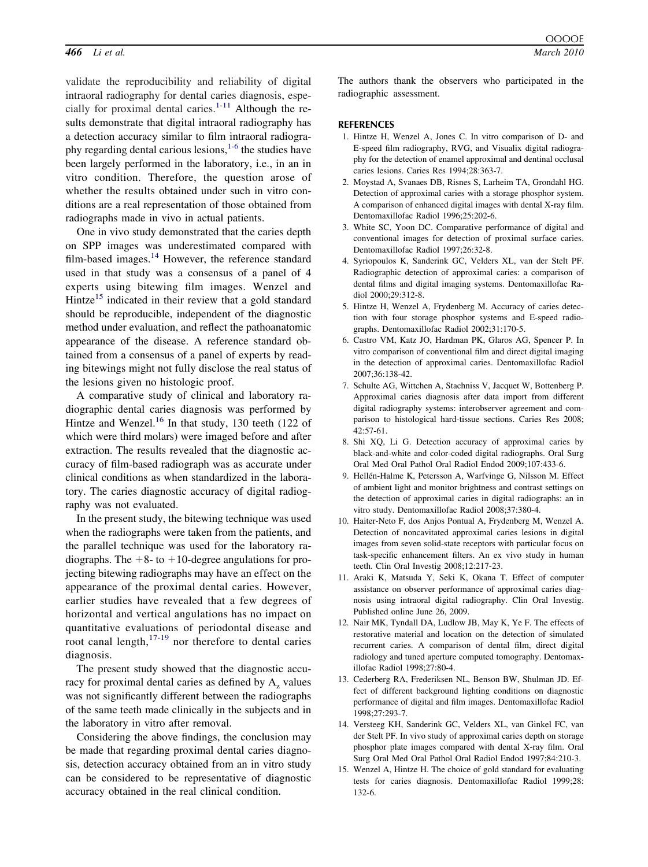<span id="page-3-0"></span>validate the reproducibility and reliability of digital intraoral radiography for dental caries diagnosis, especially for proximal dental caries. $1-11$  Although the results demonstrate that digital intraoral radiography has a detection accuracy similar to film intraoral radiography regarding dental carious lesions, $1-6$  the studies have been largely performed in the laboratory, i.e., in an in vitro condition. Therefore, the question arose of whether the results obtained under such in vitro conditions are a real representation of those obtained from radiographs made in vivo in actual patients.

One in vivo study demonstrated that the caries depth on SPP images was underestimated compared with film-based images. $14$  However, the reference standard used in that study was a consensus of a panel of 4 experts using bitewing film images. Wenzel and Hintze<sup>15</sup> indicated in their review that a gold standard should be reproducible, independent of the diagnostic method under evaluation, and reflect the pathoanatomic appearance of the disease. A reference standard obtained from a consensus of a panel of experts by reading bitewings might not fully disclose the real status of the lesions given no histologic proof.

A comparative study of clinical and laboratory radiographic dental caries diagnosis was performed by Hintze and Wenzel.<sup>[16](#page-4-0)</sup> In that study, 130 teeth (122 of which were third molars) were imaged before and after extraction. The results revealed that the diagnostic accuracy of film-based radiograph was as accurate under clinical conditions as when standardized in the laboratory. The caries diagnostic accuracy of digital radiography was not evaluated.

In the present study, the bitewing technique was used when the radiographs were taken from the patients, and the parallel technique was used for the laboratory radiographs. The  $+8$ - to  $+10$ -degree angulations for projecting bitewing radiographs may have an effect on the appearance of the proximal dental caries. However, earlier studies have revealed that a few degrees of horizontal and vertical angulations has no impact on quantitative evaluations of periodontal disease and root canal length, $17-19$  nor therefore to dental caries diagnosis.

The present study showed that the diagnostic accuracy for proximal dental caries as defined by  $A<sub>z</sub>$  values was not significantly different between the radiographs of the same teeth made clinically in the subjects and in the laboratory in vitro after removal.

Considering the above findings, the conclusion may be made that regarding proximal dental caries diagnosis, detection accuracy obtained from an in vitro study can be considered to be representative of diagnostic accuracy obtained in the real clinical condition.

The authors thank the observers who participated in the radiographic assessment.

#### **REFERENCES**

- 1. Hintze H, Wenzel A, Jones C. In vitro comparison of D- and E-speed film radiography, RVG, and Visualix digital radiography for the detection of enamel approximal and dentinal occlusal caries lesions. Caries Res 1994;28:363-7.
- 2. Moystad A, Svanaes DB, Risnes S, Larheim TA, Grondahl HG. Detection of approximal caries with a storage phosphor system. A comparison of enhanced digital images with dental X-ray film. Dentomaxillofac Radiol 1996;25:202-6.
- 3. White SC, Yoon DC. Comparative performance of digital and conventional images for detection of proximal surface caries. Dentomaxillofac Radiol 1997;26:32-8.
- 4. Syriopoulos K, Sanderink GC, Velders XL, van der Stelt PF. Radiographic detection of approximal caries: a comparison of dental films and digital imaging systems. Dentomaxillofac Radiol 2000;29:312-8.
- 5. Hintze H, Wenzel A, Frydenberg M. Accuracy of caries detection with four storage phosphor systems and E-speed radiographs. Dentomaxillofac Radiol 2002;31:170-5.
- 6. Castro VM, Katz JO, Hardman PK, Glaros AG, Spencer P. In vitro comparison of conventional film and direct digital imaging in the detection of approximal caries. Dentomaxillofac Radiol 2007;36:138-42.
- 7. Schulte AG, Wittchen A, Stachniss V, Jacquet W, Bottenberg P. Approximal caries diagnosis after data import from different digital radiography systems: interobserver agreement and comparison to histological hard-tissue sections. Caries Res 2008; 42:57-61.
- 8. Shi XQ, Li G. Detection accuracy of approximal caries by black-and-white and color-coded digital radiographs. Oral Surg Oral Med Oral Pathol Oral Radiol Endod 2009;107:433-6.
- 9. Hellén-Halme K, Petersson A, Warfvinge G, Nilsson M. Effect of ambient light and monitor brightness and contrast settings on the detection of approximal caries in digital radiographs: an in vitro study. Dentomaxillofac Radiol 2008;37:380-4.
- 10. Haiter-Neto F, dos Anjos Pontual A, Frydenberg M, Wenzel A. Detection of noncavitated approximal caries lesions in digital images from seven solid-state receptors with particular focus on task-specific enhancement filters. An ex vivo study in human teeth. Clin Oral Investig 2008;12:217-23.
- 11. Araki K, Matsuda Y, Seki K, Okana T. Effect of computer assistance on observer performance of approximal caries diagnosis using intraoral digital radiography. Clin Oral Investig. Published online June 26, 2009.
- 12. Nair MK, Tyndall DA, Ludlow JB, May K, Ye F. The effects of restorative material and location on the detection of simulated recurrent caries. A comparison of dental film, direct digital radiology and tuned aperture computed tomography. Dentomaxillofac Radiol 1998;27:80-4.
- 13. Cederberg RA, Frederiksen NL, Benson BW, Shulman JD. Effect of different background lighting conditions on diagnostic performance of digital and film images. Dentomaxillofac Radiol 1998;27:293-7.
- 14. Versteeg KH, Sanderink GC, Velders XL, van Ginkel FC, van der Stelt PF. In vivo study of approximal caries depth on storage phosphor plate images compared with dental X-ray film. Oral Surg Oral Med Oral Pathol Oral Radiol Endod 1997;84:210-3.
- 15. Wenzel A, Hintze H. The choice of gold standard for evaluating tests for caries diagnosis. Dentomaxillofac Radiol 1999;28: 132-6.